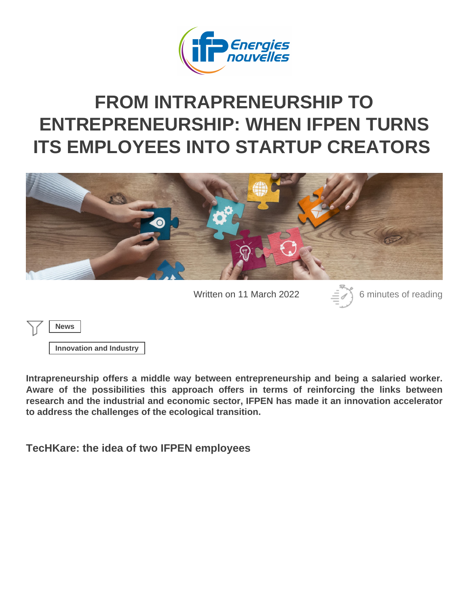# FROM INTRAPRENEURSHIP TO [ENTREPRENEURSHIP: WHEN IFPEN TURN](https://www.ifpenergiesnouvelles.com/article/intrapreneurship-entrepreneurship-when-ifpen-turns-its-employees-startup-creators)S [ITS EMPLOYEES INTO STARTUP CREATORS](https://www.ifpenergiesnouvelles.com/article/intrapreneurship-entrepreneurship-when-ifpen-turns-its-employees-startup-creators)

Written on 11 March 2022 6 minutes of reading

News

Innovation and Industry

Intrapreneurship offers a middle way between entrepreneurship and being a salaried worker. Aware of the possibilities this approach offers in terms of reinforcing the links between research and the industrial and economic sector, IFPEN has made it an innovation accelerator to address the challenges of the ecological transition.

TecHKare: the idea of two IFPEN employees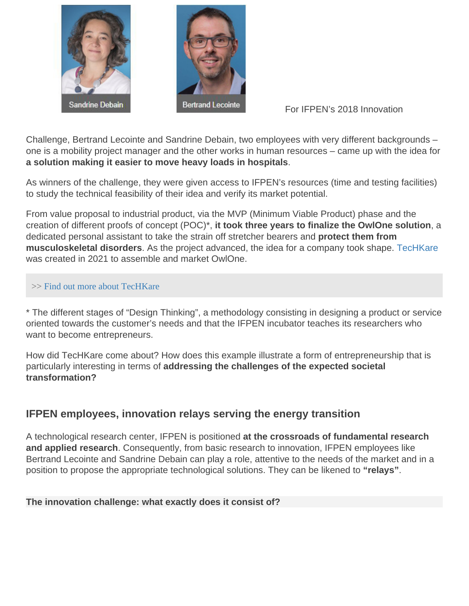#### For IFPEN's 2018 Innovation

Challenge, Bertrand Lecointe and Sandrine Debain, two employees with very different backgrounds – one is a mobility project manager and the other works in human resources – came up with the idea for a solution making it easier to move heavy loads in hospitals

As winners of the challenge, they were given access to IFPEN's resources (time and testing facilities) to study the technical feasibility of their idea and verify its market potential.

From value proposal to industrial product, via the MVP (Minimum Viable Product) phase and the creation of different proofs of concept (POC)\*, it took three years to finalize the OwlOne solution , a dedicated personal assistant to take the strain off stretcher bearers and protect them from musculoskeletal disorders . As the project advanced, the idea for a company took shape. [TecHKare](https://www.ifpenergiesnouvelles.com/article/techkare-revolutionne-deplacement-des-charges-lourdes-en-milieu-hospitalier) was created in 2021 to assemble and market OwlOne.

#### >> [Find out more about TecHKa](https://www.ifpenergiesnouvelles.com/article/techkare-revolutionizes-transport-heavy-loads-hospitals)re

\* The different stages of "Design Thinking", a methodology consisting in designing a product or service oriented towards the customer's needs and that the IFPEN incubator teaches its researchers who want to become entrepreneurs.

How did TecHKare come about? How does this example illustrate a form of entrepreneurship that is particularly interesting in terms of addressing the challenges of the expected societal transformation?

### IFPEN employees, innovation relays serving the energy transition

A technological research center, IFPEN is positioned at the crossroads of fundamental research and applied research . Consequently, from basic research to innovation, IFPEN employees like Bertrand Lecointe and Sandrine Debain can play a role, attentive to the needs of the market and in a position to propose the appropriate technological solutions. They can be likened to "relays" .

The innovation challenge: what exactly does it consist of?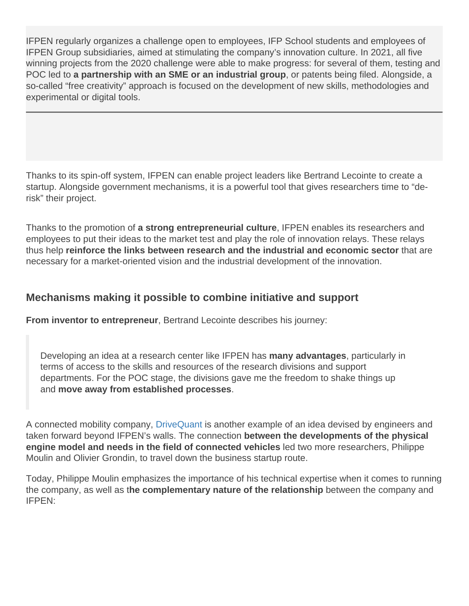IFPEN regularly organizes a challenge open to employees, IFP School students and employees of IFPEN Group subsidiaries, aimed at stimulating the company's innovation culture. In 2021, all five winning projects from the 2020 challenge were able to make progress: for several of them, testing and POC led to a partnership with an SME or an industrial group, or patents being filed. Alongside, a so-called "free creativity" approach is focused on the development of new skills, methodologies and experimental or digital tools.

Thanks to its spin-off system, IFPEN can enable project leaders like Bertrand Lecointe to create a startup. Alongside government mechanisms, it is a powerful tool that gives researchers time to "derisk" their project.

Thanks to the promotion of a strong entrepreneurial culture , IFPEN enables its researchers and employees to put their ideas to the market test and play the role of innovation relays. These relays thus help reinforce the links between research and the industrial and economic sector that are necessary for a market-oriented vision and the industrial development of the innovation.

Mechanisms making it possible to combine initiative and support

From inventor to entrepreneur , Bertrand Lecointe describes his journey:

Developing an idea at a research center like IFPEN has many advantages , particularly in terms of access to the skills and resources of the research divisions and support departments. For the POC stage, the divisions gave me the freedom to shake things up and move away from established processes .

A connected mobility company, [DriveQuant](https://www.ifpenergiesnouvelles.com/article/ifp-energies-nouvelles-launches-drivequant-start-connected-mobility-sector) is another example of an idea devised by engineers and taken forward beyond IFPEN's walls. The connection between the developments of the physical engine model and needs in the field of connected vehicles led two more researchers, Philippe Moulin and Olivier Grondin, to travel down the business startup route.

Today, Philippe Moulin emphasizes the importance of his technical expertise when it comes to running the company, as well as the complementary nature of the relationship between the company and IFPEN: